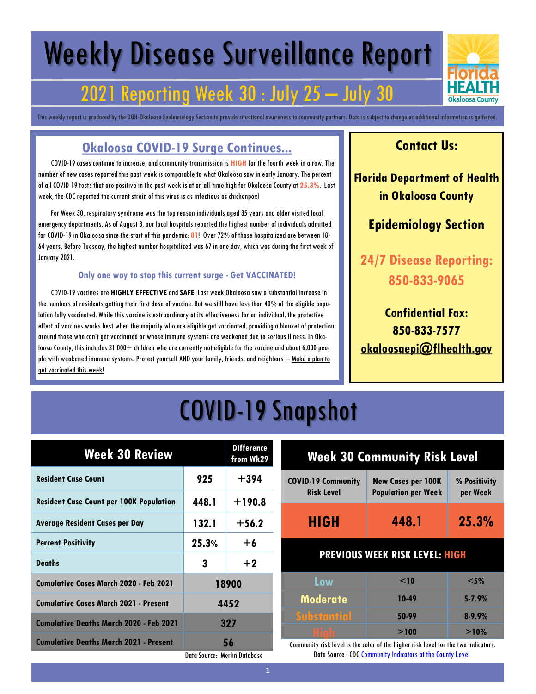# Weekly Disease Surveillance Report

# 2021 Reporting Week 30 : July 25 – July 30

This weekly report is produced by the DOH-Okaloosa Epidemiology Section to provide situational awareness to community partners. Data is subject to change as additional information is gathered.

### **Okaloosa COVID-19 Surge Continues...**

 COVID-19 cases continue to increase, and community transmission is **HIGH** for thefourth week in a row. The number of new cases reported this past week is comparable to what Okaloosa saw in early January. The percent of all COVID-19 tests that are positive in the past week is at an all-time high for Okaloosa County at **25.3%**. Last week, the CDC reported the current strain of this virus is as infectious as chickenpox!

 For Week 30, respiratory syndrome was the top reason individuals aged 35 years and older visited local emergency departments. As of August 3, our local hospitals reported the highest number of individuals admitted for COVID-19 in Okaloosa since the start of this pandemic: **81**! Over 72% of those hospitalized are between 18- 64 years. Before Tuesday, the highest number hospitalized was 67 in one day, which was during the first week of January 2021.

#### **Only one way to stop this current surge - Get VACCINATED!**

 COVID-19 vaccines are **HIGHLY EFFECTIVE**and **SAFE**. Last week Okaloosa saw a substantial increase in the numbers of residents getting their first dose of vaccine. But we still have less than 40% of the eligible population fully vaccinated. While this vaccine is extraordinary at its effectiveness for an individual, the protective effect of vaccines works best when the majority who are eligible get vaccinated, providing a blanket of protection around those who can't get vaccinated or whose immune systems are weakened due to serious illness. In Okaloosa County, this includes 31,000+ children who are currently not eligible for the vaccine and about 6,000 people with weakened immune systems. Protect yourself AND your family, friends, and neighbors – Make a plan to get vaccinated this week!

#### **Contact Us:**

**Florida Department of Health in Okaloosa County**

#### **Epidemiology Section**

**24/7 Disease Reporting: 850-833-9065**

**Confidential Fax: 850-833-7577 [okaloosaepi@flhealth.gov](mailto:okaloosaepi@flhealth.gov)**

# COVID-19 Snapshot

| <b>Week 30 Review</b>                          |                              | <b>Difference</b><br>from Wk29 |
|------------------------------------------------|------------------------------|--------------------------------|
| <b>Resident Case Count</b>                     | 925                          | $+394$                         |
| <b>Resident Case Count per 100K Population</b> | 448.1                        | $+190.8$                       |
| <b>Average Resident Cases per Day</b>          | 132.1                        | $+56.2$                        |
| <b>Percent Positivity</b>                      | 25.3%                        | $+6$                           |
| <b>Deaths</b>                                  | 3                            | $+2$                           |
| Cumulative Cases March 2020 - Feb 2021         | 18900                        |                                |
| <b>Cumulative Cases March 2021 - Present</b>   | 4452                         |                                |
| Cumulative Deaths March 2020 - Feb 2021        |                              | 327                            |
| <b>Cumulative Deaths March 2021 - Present</b>  |                              | 56                             |
|                                                | Data Source: Merlin Database |                                |

| <b>Week 30 Community Risk Level</b>            |                                                                                     |            |
|------------------------------------------------|-------------------------------------------------------------------------------------|------------|
| <b>COVID-19 Community</b><br><b>Risk Level</b> | <b>New Cases per 100K</b><br>% Positivity<br><b>Population per Week</b><br>per Week |            |
| <b>HIGH</b>                                    | 448.1                                                                               | 25.3%      |
| <b>PREVIOUS WEEK RISK LEVEL: HIGH</b>          |                                                                                     |            |
| Low                                            | $<$ 10                                                                              | $<$ 5%     |
| <b>Moderate</b>                                | 10-49                                                                               | $5 - 7.9%$ |
| <b>Substantial</b>                             | 50-99                                                                               | $8 - 9.9%$ |
| <u>High</u>                                    | >100                                                                                | $>10\%$    |

Community risk level is the color of the higher risk level for the two indicators. Data Source : CDC Community Indicators at the County Level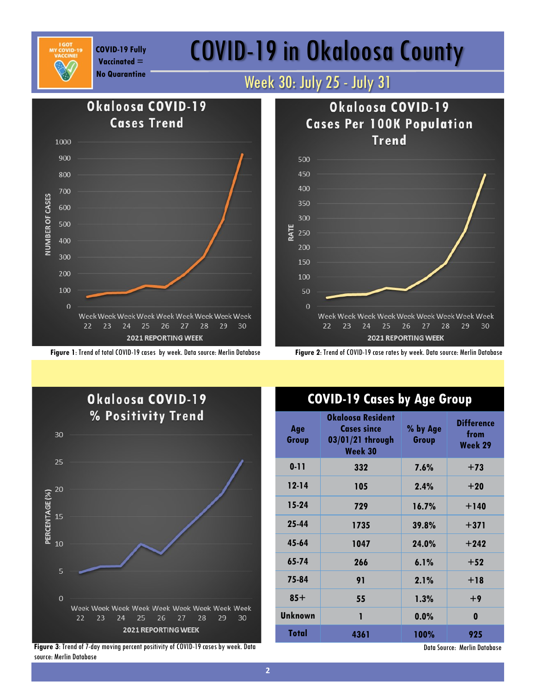

**Vaccinated =** 

# COVID-19 Fully **COVID-19 in Okaloosa County**



**Figure 1**: Trend of total COVID-19 cases by week. Data source: Merlin Database **Figure 2**: Trend of COVID-19 case rates by week. Data source: Merlin Database



**Figure 3**: Trend of 7-day moving percent positivity of COVID-19 cases by week. Data source: Merlin Database

### **COVID-19 Cases by Age Group**

| Age<br>Group   | Okaloosa Resident<br><b>Cases since</b><br>03/01/21 through<br>Week 30 | % by Age<br>Group | <b>Difference</b><br>from<br>Week 29 |
|----------------|------------------------------------------------------------------------|-------------------|--------------------------------------|
| $0 - 11$       | 332                                                                    | 7.6%              | $+73$                                |
| $12 - 14$      | 105                                                                    | 2.4%              | $+20$                                |
| $15-24$        | 729                                                                    | 16.7%             | $+140$                               |
| 25-44          | 1735                                                                   | 39.8%             | $+371$                               |
| 45-64          | 1047                                                                   | 24.0%             | $+242$                               |
| 65-74          | 266                                                                    | 6.1%              | $+52$                                |
| 75-84          | 91                                                                     | 2.1%              | $+18$                                |
| $85+$          | 55                                                                     | 1.3%              | $+9$                                 |
| <b>Unknown</b> | ī                                                                      | 0.0%              | 0                                    |
| Total          | 4361                                                                   | 100%              | 925                                  |

Data Source: Merlin Database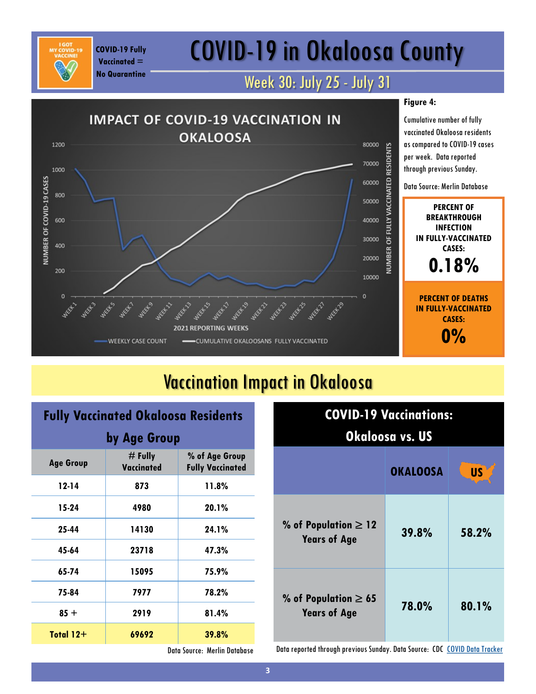# COVID-19 in Okaloosa County

### Week 30: July 25 - July 31



### Vaccination Impact in Okaloosa

| <b>Fully Vaccinated Okaloosa Residents</b> |                                |                                           |
|--------------------------------------------|--------------------------------|-------------------------------------------|
| by Age Group                               |                                |                                           |
| <b>Age Group</b>                           | $#$ Fully<br><b>Vaccinated</b> | % of Age Group<br><b>Fully Vaccinated</b> |
| $12 - 14$                                  | 873                            | 11.8%                                     |
| 15-24                                      | 4980                           | 20.1%                                     |
| 25-44                                      | 14130                          | 24.1%                                     |
| 45-64                                      | 23718                          | 47.3%                                     |
| 65-74                                      | 15095                          | 75.9%                                     |
| 75-84                                      | 7977                           | 78.2%                                     |
| $85 +$                                     | 2919                           | 81.4%                                     |
| Total $12+$                                | 69692                          | 39.8%                                     |

**COVID-19 Fully Vaccinated = No Quarantine**

| <b>COVID-19 Vaccinations:</b><br>Okaloosa vs. US                   |       |       |  |
|--------------------------------------------------------------------|-------|-------|--|
| <b>US</b><br><b>OKALOOSA</b>                                       |       |       |  |
| % of Population $\geq 12$<br><b>Years of Age</b>                   | 39.8% | 58.2% |  |
| % of Population $\geq 65$<br>78.0%<br>80.1%<br><b>Years of Age</b> |       |       |  |

Data Source: Merlin Database

Data reported through previous Sunday. Data Source: CDC [COVID Data Tracker](https://covid.cdc.gov/covid-data-tracker/#vaccinations)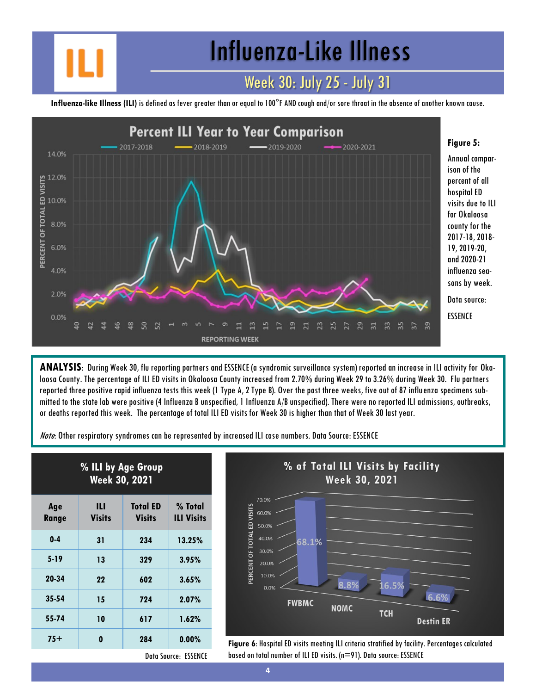Influenza-Like Illness

### Week 30: July 25 - July 31

**Influenza-like Illness (ILI)** is defined as fever greater than or equal to 100°F AND cough and/or sore throat in the absence of another known cause.



**ANALYSIS**: During Week 30, flu reporting partners and ESSENCE (a syndromic surveillance system) reported an increase in ILI activity for Okaloosa County. The percentage of ILI ED visits in Okaloosa County increased from 2.70% during Week 29 to 3.26% during Week 30. Flu partners reported three positive rapid influenza tests this week (1 Type A, 2 Type B). Over the past three weeks, five out of 87 influenza specimens submitted to the state lab were positive (4 Influenza B unspecified, 1 Influenza A/B unspecified). There were no reported ILI admissions, outbreaks, or deaths reported this week. The percentage of total ILI ED visits for Week 30 is higher than that of Week 30 last year.

Note: Other respiratory syndromes can be represented by increased ILI case numbers. Data Source: ESSENCE

| % ILI by Age Group<br>Week 30, 2021 |                    |                                  |                              |
|-------------------------------------|--------------------|----------------------------------|------------------------------|
| Age<br><b>Range</b>                 | Ш<br><b>Visits</b> | <b>Total ED</b><br><b>Visits</b> | % Total<br><b>ILI Visits</b> |
| $0 - 4$                             | 31                 | 234                              | 13.25%                       |
| $5-19$                              | 13                 | 329                              | 3.95%                        |
| 20-34                               | 22                 | 602                              | 3.65%                        |
| $35 - 54$                           | 15                 | 724                              | 2.07%                        |
| 55-74                               | 10                 | 617                              | 1.62%                        |
| $75+$                               | 0                  | 284                              | 0.00%                        |



**Figure 6:** Hospital ED visits meeting ILI criteria stratified by facility. Percentages calculated based on total number of ILI ED visits. (n=91). Data source: ESSENCE

Data Source: ESSENCE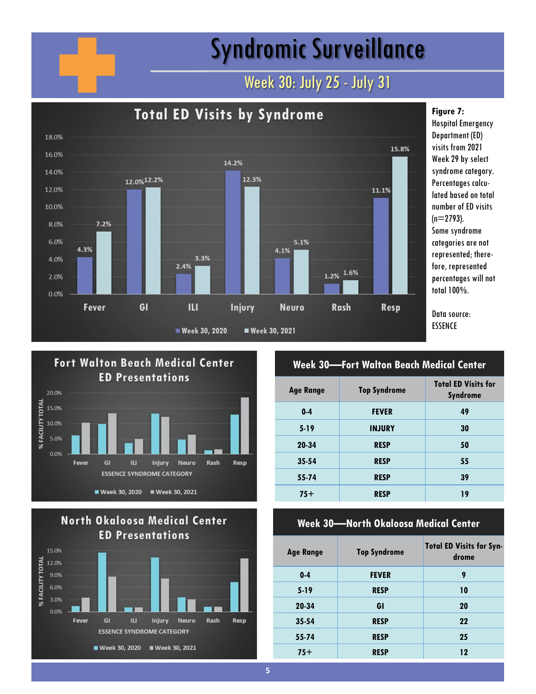# Syndromic Surveillance

### Week 30: July 25 - July 31







#### **Week 30—Fort Walton Beach Medical Center Age Range Top Syndrome Total ED Visits for Syndrome 0-4 FEVER 49 5-19 INJURY 30**

| 20-34     | <b>RESP</b> | 50 |
|-----------|-------------|----|
| $35 - 54$ | <b>RESP</b> | 55 |
| $55 - 74$ | <b>RESP</b> | 39 |
| $75+$     | <b>RESP</b> | 19 |

#### **Week 30—North Okaloosa Medical Center**

| <b>Age Range</b> | <b>Top Syndrome</b> | <b>Total ED Visits for Syn-</b><br>drome |
|------------------|---------------------|------------------------------------------|
| $0 - 4$          | <b>FEVER</b>        | 9                                        |
| $5 - 19$         | <b>RESP</b>         | 10                                       |
| 20-34            | GI                  | 20                                       |
| $35 - 54$        | <b>RESP</b>         | 22                                       |
| 55-74            | <b>RESP</b>         | 25                                       |
| $75+$            | <b>RESP</b>         | 12                                       |

fore, represented percentages will not

**Figure 7:** 

Hospital Emergency Department (ED) visits from 2021 Week 29 by select syndrome category. Percentages calcu-

number of ED visits

categories are not represented; there-

Data source: ESSENCE